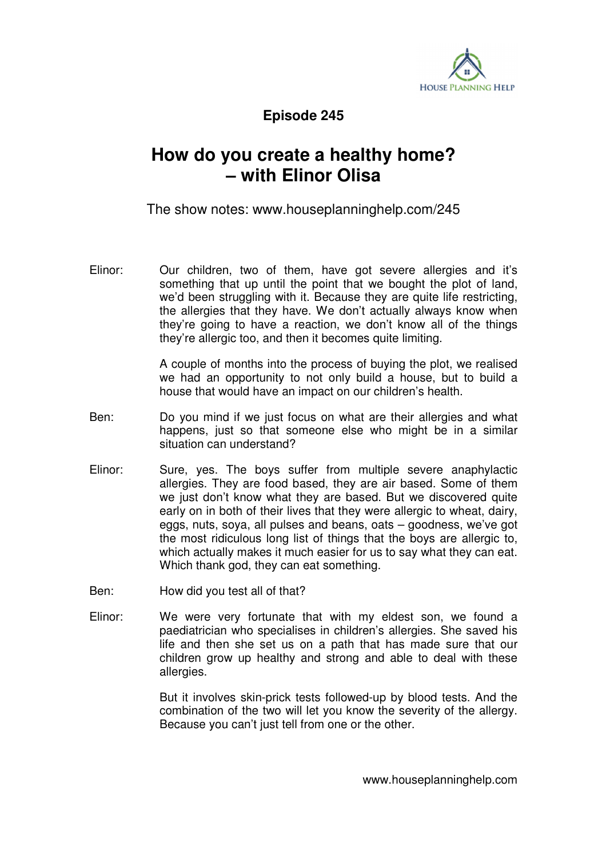

**Episode 245** 

## **How do you create a healthy home? – with Elinor Olisa**

The show notes: www.houseplanninghelp.com/245

Elinor: Our children, two of them, have got severe allergies and it's something that up until the point that we bought the plot of land, we'd been struggling with it. Because they are quite life restricting. the allergies that they have. We don't actually always know when they're going to have a reaction, we don't know all of the things they're allergic too, and then it becomes quite limiting.

> A couple of months into the process of buying the plot, we realised we had an opportunity to not only build a house, but to build a house that would have an impact on our children's health.

- Ben: Do you mind if we just focus on what are their allergies and what happens, just so that someone else who might be in a similar situation can understand?
- Elinor: Sure, yes. The boys suffer from multiple severe anaphylactic allergies. They are food based, they are air based. Some of them we just don't know what they are based. But we discovered quite early on in both of their lives that they were allergic to wheat, dairy, eggs, nuts, soya, all pulses and beans, oats – goodness, we've got the most ridiculous long list of things that the boys are allergic to, which actually makes it much easier for us to say what they can eat. Which thank god, they can eat something.
- Ben: How did you test all of that?
- Elinor: We were very fortunate that with my eldest son, we found a paediatrician who specialises in children's allergies. She saved his life and then she set us on a path that has made sure that our children grow up healthy and strong and able to deal with these allergies.

 But it involves skin-prick tests followed-up by blood tests. And the combination of the two will let you know the severity of the allergy. Because you can't just tell from one or the other.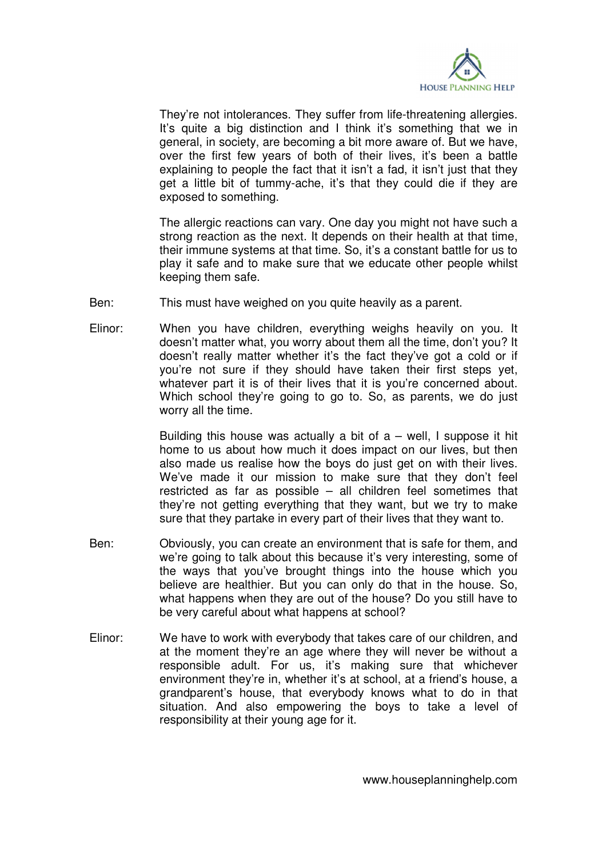

 They're not intolerances. They suffer from life-threatening allergies. It's quite a big distinction and I think it's something that we in general, in society, are becoming a bit more aware of. But we have, over the first few years of both of their lives, it's been a battle explaining to people the fact that it isn't a fad, it isn't just that they get a little bit of tummy-ache, it's that they could die if they are exposed to something.

 The allergic reactions can vary. One day you might not have such a strong reaction as the next. It depends on their health at that time, their immune systems at that time. So, it's a constant battle for us to play it safe and to make sure that we educate other people whilst keeping them safe.

- Ben: This must have weighed on you quite heavily as a parent.
- Elinor: When you have children, everything weighs heavily on you. It doesn't matter what, you worry about them all the time, don't you? It doesn't really matter whether it's the fact they've got a cold or if you're not sure if they should have taken their first steps yet, whatever part it is of their lives that it is you're concerned about. Which school they're going to go to. So, as parents, we do just worry all the time.

Building this house was actually a bit of  $a$  – well, I suppose it hit home to us about how much it does impact on our lives, but then also made us realise how the boys do just get on with their lives. We've made it our mission to make sure that they don't feel restricted as far as possible – all children feel sometimes that they're not getting everything that they want, but we try to make sure that they partake in every part of their lives that they want to.

- Ben: Obviously, you can create an environment that is safe for them, and we're going to talk about this because it's very interesting, some of the ways that you've brought things into the house which you believe are healthier. But you can only do that in the house. So, what happens when they are out of the house? Do you still have to be very careful about what happens at school?
- Elinor: We have to work with everybody that takes care of our children, and at the moment they're an age where they will never be without a responsible adult. For us, it's making sure that whichever environment they're in, whether it's at school, at a friend's house, a grandparent's house, that everybody knows what to do in that situation. And also empowering the boys to take a level of responsibility at their young age for it.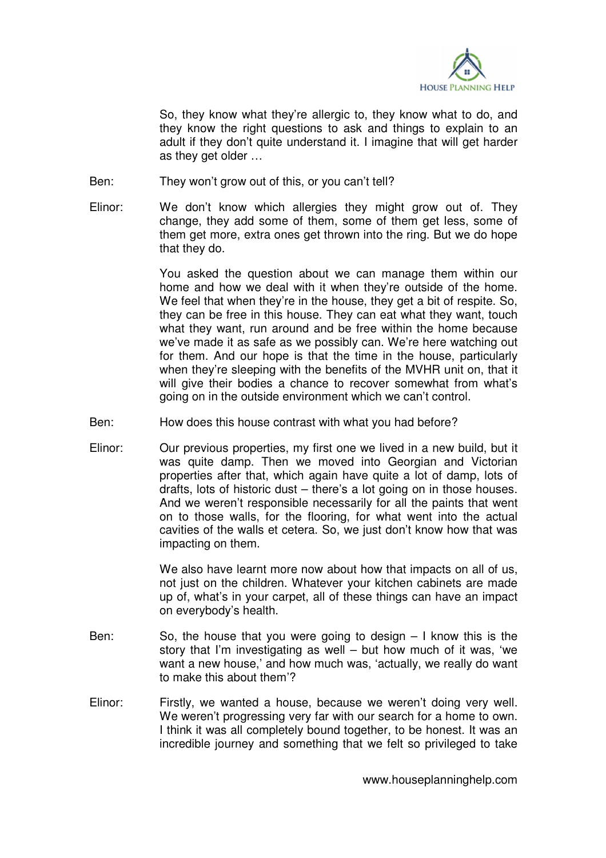

 So, they know what they're allergic to, they know what to do, and they know the right questions to ask and things to explain to an adult if they don't quite understand it. I imagine that will get harder as they get older …

Ben: They won't grow out of this, or you can't tell?

Elinor: We don't know which allergies they might grow out of. They change, they add some of them, some of them get less, some of them get more, extra ones get thrown into the ring. But we do hope that they do.

> You asked the question about we can manage them within our home and how we deal with it when they're outside of the home. We feel that when they're in the house, they get a bit of respite. So, they can be free in this house. They can eat what they want, touch what they want, run around and be free within the home because we've made it as safe as we possibly can. We're here watching out for them. And our hope is that the time in the house, particularly when they're sleeping with the benefits of the MVHR unit on, that it will give their bodies a chance to recover somewhat from what's going on in the outside environment which we can't control.

- Ben: How does this house contrast with what you had before?
- Elinor: Our previous properties, my first one we lived in a new build, but it was quite damp. Then we moved into Georgian and Victorian properties after that, which again have quite a lot of damp, lots of drafts, lots of historic dust – there's a lot going on in those houses. And we weren't responsible necessarily for all the paints that went on to those walls, for the flooring, for what went into the actual cavities of the walls et cetera. So, we just don't know how that was impacting on them.

 We also have learnt more now about how that impacts on all of us, not just on the children. Whatever your kitchen cabinets are made up of, what's in your carpet, all of these things can have an impact on everybody's health.

- Ben: So, the house that you were going to design I know this is the story that I'm investigating as well – but how much of it was, 'we want a new house,' and how much was, 'actually, we really do want to make this about them'?
- Elinor: Firstly, we wanted a house, because we weren't doing very well. We weren't progressing very far with our search for a home to own. I think it was all completely bound together, to be honest. It was an incredible journey and something that we felt so privileged to take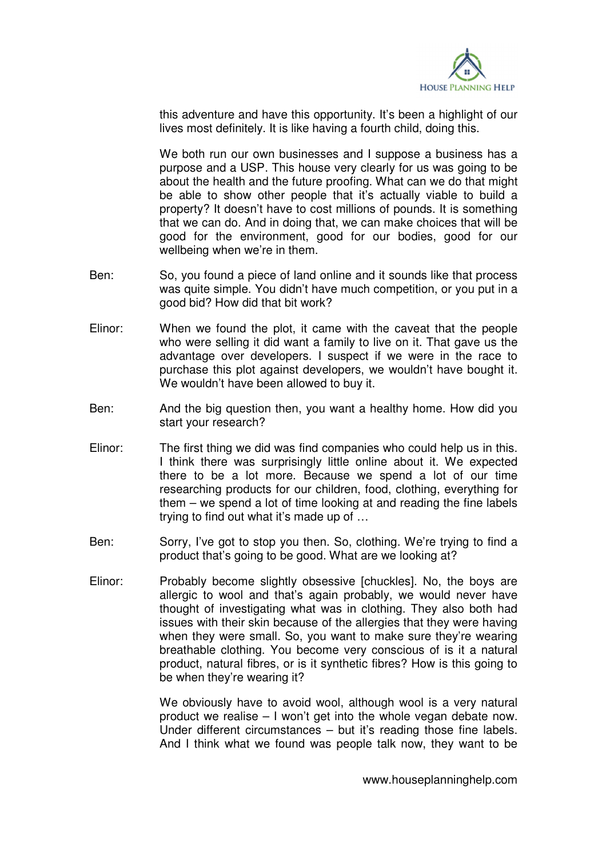

this adventure and have this opportunity. It's been a highlight of our lives most definitely. It is like having a fourth child, doing this.

We both run our own businesses and I suppose a business has a purpose and a USP. This house very clearly for us was going to be about the health and the future proofing. What can we do that might be able to show other people that it's actually viable to build a property? It doesn't have to cost millions of pounds. It is something that we can do. And in doing that, we can make choices that will be good for the environment, good for our bodies, good for our wellbeing when we're in them.

- Ben: So, you found a piece of land online and it sounds like that process was quite simple. You didn't have much competition, or you put in a good bid? How did that bit work?
- Elinor: When we found the plot, it came with the caveat that the people who were selling it did want a family to live on it. That gave us the advantage over developers. I suspect if we were in the race to purchase this plot against developers, we wouldn't have bought it. We wouldn't have been allowed to buy it.
- Ben: And the big question then, you want a healthy home. How did you start your research?
- Elinor: The first thing we did was find companies who could help us in this. I think there was surprisingly little online about it. We expected there to be a lot more. Because we spend a lot of our time researching products for our children, food, clothing, everything for them – we spend a lot of time looking at and reading the fine labels trying to find out what it's made up of …
- Ben: Sorry, I've got to stop you then. So, clothing. We're trying to find a product that's going to be good. What are we looking at?
- Elinor: Probably become slightly obsessive [chuckles]. No, the boys are allergic to wool and that's again probably, we would never have thought of investigating what was in clothing. They also both had issues with their skin because of the allergies that they were having when they were small. So, you want to make sure they're wearing breathable clothing. You become very conscious of is it a natural product, natural fibres, or is it synthetic fibres? How is this going to be when they're wearing it?

 We obviously have to avoid wool, although wool is a very natural product we realise – I won't get into the whole vegan debate now. Under different circumstances – but it's reading those fine labels. And I think what we found was people talk now, they want to be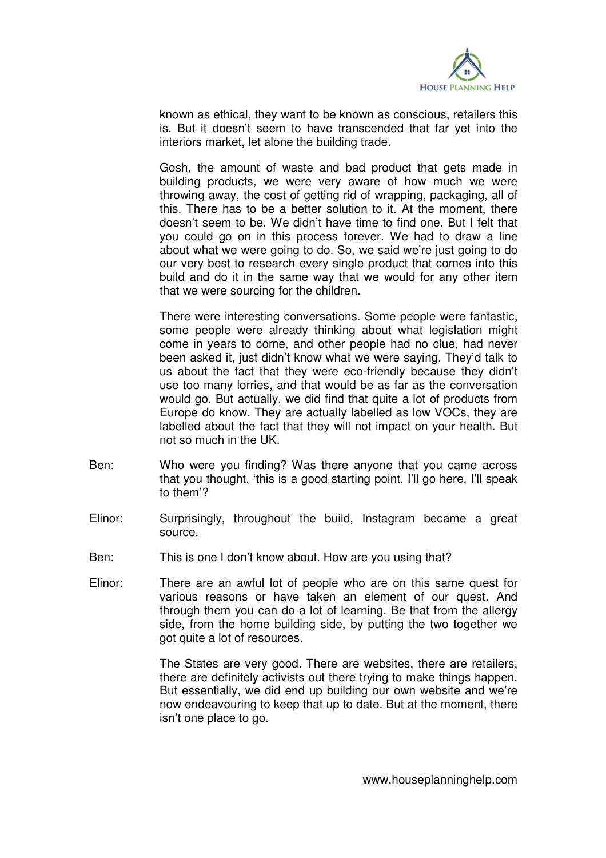

known as ethical, they want to be known as conscious, retailers this is. But it doesn't seem to have transcended that far yet into the interiors market, let alone the building trade.

 Gosh, the amount of waste and bad product that gets made in building products, we were very aware of how much we were throwing away, the cost of getting rid of wrapping, packaging, all of this. There has to be a better solution to it. At the moment, there doesn't seem to be. We didn't have time to find one. But I felt that you could go on in this process forever. We had to draw a line about what we were going to do. So, we said we're just going to do our very best to research every single product that comes into this build and do it in the same way that we would for any other item that we were sourcing for the children.

 There were interesting conversations. Some people were fantastic, some people were already thinking about what legislation might come in years to come, and other people had no clue, had never been asked it, just didn't know what we were saying. They'd talk to us about the fact that they were eco-friendly because they didn't use too many lorries, and that would be as far as the conversation would go. But actually, we did find that quite a lot of products from Europe do know. They are actually labelled as low VOCs, they are labelled about the fact that they will not impact on your health. But not so much in the UK.

- Ben: Who were you finding? Was there anyone that you came across that you thought, 'this is a good starting point. I'll go here, I'll speak to them'?
- Elinor: Surprisingly, throughout the build, Instagram became a great source.
- Ben: This is one I don't know about. How are you using that?
- Elinor: There are an awful lot of people who are on this same quest for various reasons or have taken an element of our quest. And through them you can do a lot of learning. Be that from the allergy side, from the home building side, by putting the two together we got quite a lot of resources.

 The States are very good. There are websites, there are retailers, there are definitely activists out there trying to make things happen. But essentially, we did end up building our own website and we're now endeavouring to keep that up to date. But at the moment, there isn't one place to go.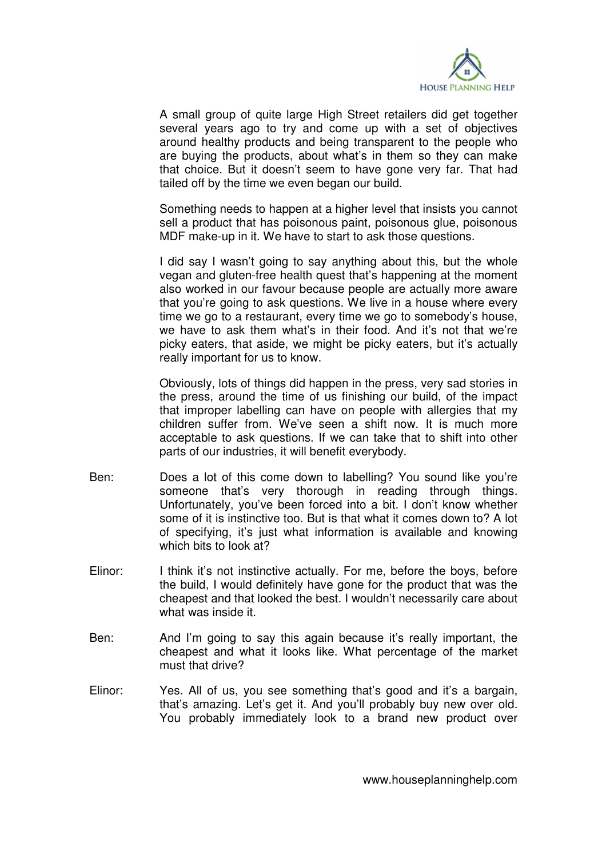

 A small group of quite large High Street retailers did get together several years ago to try and come up with a set of objectives around healthy products and being transparent to the people who are buying the products, about what's in them so they can make that choice. But it doesn't seem to have gone very far. That had tailed off by the time we even began our build.

 Something needs to happen at a higher level that insists you cannot sell a product that has poisonous paint, poisonous glue, poisonous MDF make-up in it. We have to start to ask those questions.

 I did say I wasn't going to say anything about this, but the whole vegan and gluten-free health quest that's happening at the moment also worked in our favour because people are actually more aware that you're going to ask questions. We live in a house where every time we go to a restaurant, every time we go to somebody's house, we have to ask them what's in their food. And it's not that we're picky eaters, that aside, we might be picky eaters, but it's actually really important for us to know.

 Obviously, lots of things did happen in the press, very sad stories in the press, around the time of us finishing our build, of the impact that improper labelling can have on people with allergies that my children suffer from. We've seen a shift now. It is much more acceptable to ask questions. If we can take that to shift into other parts of our industries, it will benefit everybody.

- Ben: Does a lot of this come down to labelling? You sound like you're someone that's very thorough in reading through things. Unfortunately, you've been forced into a bit. I don't know whether some of it is instinctive too. But is that what it comes down to? A lot of specifying, it's just what information is available and knowing which bits to look at?
- Elinor: I think it's not instinctive actually. For me, before the boys, before the build, I would definitely have gone for the product that was the cheapest and that looked the best. I wouldn't necessarily care about what was inside it.
- Ben: And I'm going to say this again because it's really important, the cheapest and what it looks like. What percentage of the market must that drive?
- Elinor: Yes. All of us, you see something that's good and it's a bargain, that's amazing. Let's get it. And you'll probably buy new over old. You probably immediately look to a brand new product over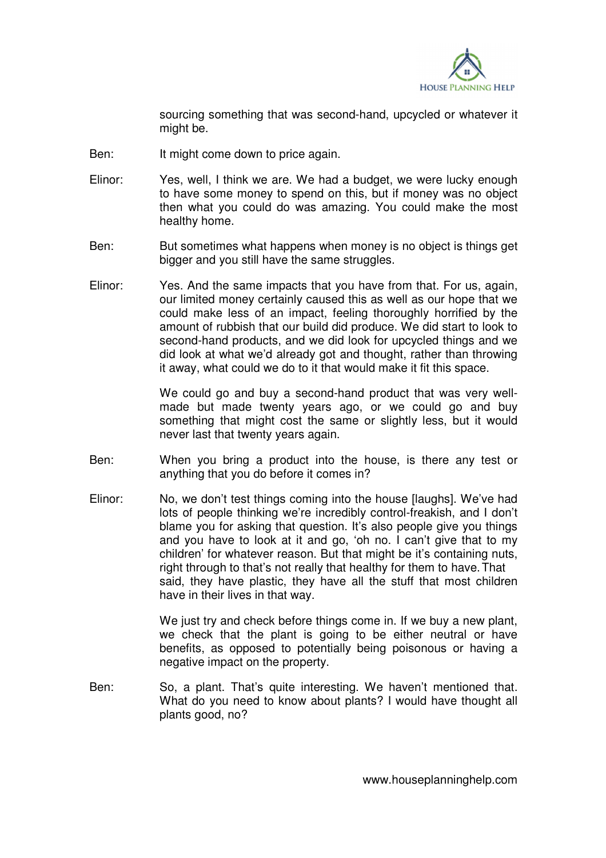

sourcing something that was second-hand, upcycled or whatever it might be.

- Ben: It might come down to price again.
- Elinor: Yes, well, I think we are. We had a budget, we were lucky enough to have some money to spend on this, but if money was no object then what you could do was amazing. You could make the most healthy home.
- Ben: But sometimes what happens when money is no object is things get bigger and you still have the same struggles.
- Elinor: Yes. And the same impacts that you have from that. For us, again, our limited money certainly caused this as well as our hope that we could make less of an impact, feeling thoroughly horrified by the amount of rubbish that our build did produce. We did start to look to second-hand products, and we did look for upcycled things and we did look at what we'd already got and thought, rather than throwing it away, what could we do to it that would make it fit this space.

 We could go and buy a second-hand product that was very wellmade but made twenty years ago, or we could go and buy something that might cost the same or slightly less, but it would never last that twenty years again.

- Ben: When you bring a product into the house, is there any test or anything that you do before it comes in?
- Elinor: No, we don't test things coming into the house [laughs]. We've had lots of people thinking we're incredibly control-freakish, and I don't blame you for asking that question. It's also people give you things and you have to look at it and go, 'oh no. I can't give that to my children' for whatever reason. But that might be it's containing nuts, right through to that's not really that healthy for them to have. That said, they have plastic, they have all the stuff that most children have in their lives in that way.

We just try and check before things come in. If we buy a new plant, we check that the plant is going to be either neutral or have benefits, as opposed to potentially being poisonous or having a negative impact on the property.

Ben: So, a plant. That's quite interesting. We haven't mentioned that. What do you need to know about plants? I would have thought all plants good, no?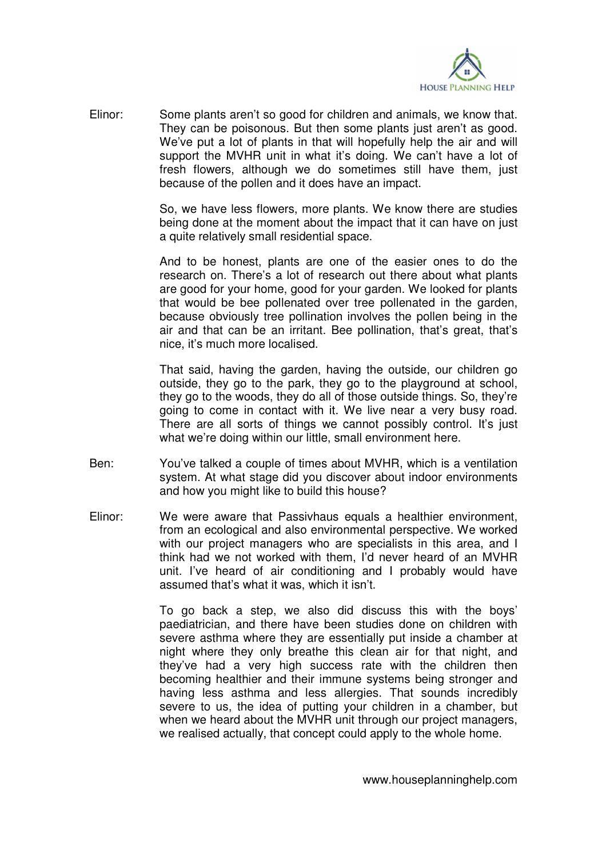

Elinor: Some plants aren't so good for children and animals, we know that. They can be poisonous. But then some plants just aren't as good. We've put a lot of plants in that will hopefully help the air and will support the MVHR unit in what it's doing. We can't have a lot of fresh flowers, although we do sometimes still have them, just because of the pollen and it does have an impact.

> So, we have less flowers, more plants. We know there are studies being done at the moment about the impact that it can have on just a quite relatively small residential space.

> And to be honest, plants are one of the easier ones to do the research on. There's a lot of research out there about what plants are good for your home, good for your garden. We looked for plants that would be bee pollenated over tree pollenated in the garden, because obviously tree pollination involves the pollen being in the air and that can be an irritant. Bee pollination, that's great, that's nice, it's much more localised.

> That said, having the garden, having the outside, our children go outside, they go to the park, they go to the playground at school, they go to the woods, they do all of those outside things. So, they're going to come in contact with it. We live near a very busy road. There are all sorts of things we cannot possibly control. It's just what we're doing within our little, small environment here.

- Ben: You've talked a couple of times about MVHR, which is a ventilation system. At what stage did you discover about indoor environments and how you might like to build this house?
- Elinor: We were aware that Passivhaus equals a healthier environment, from an ecological and also environmental perspective. We worked with our project managers who are specialists in this area, and I think had we not worked with them, I'd never heard of an MVHR unit. I've heard of air conditioning and I probably would have assumed that's what it was, which it isn't.

 To go back a step, we also did discuss this with the boys' paediatrician, and there have been studies done on children with severe asthma where they are essentially put inside a chamber at night where they only breathe this clean air for that night, and they've had a very high success rate with the children then becoming healthier and their immune systems being stronger and having less asthma and less allergies. That sounds incredibly severe to us, the idea of putting your children in a chamber, but when we heard about the MVHR unit through our project managers, we realised actually, that concept could apply to the whole home.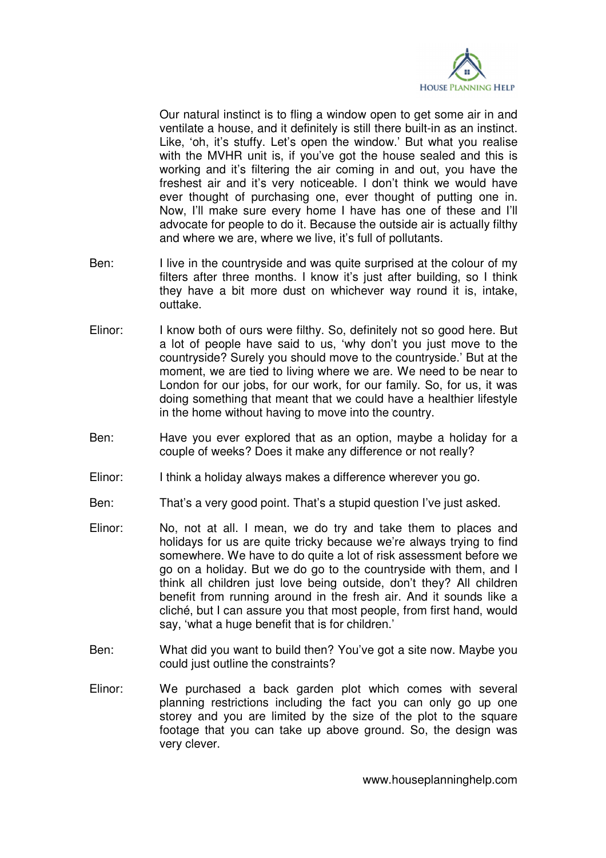

 Our natural instinct is to fling a window open to get some air in and ventilate a house, and it definitely is still there built-in as an instinct. Like, 'oh, it's stuffy. Let's open the window.' But what you realise with the MVHR unit is, if you've got the house sealed and this is working and it's filtering the air coming in and out, you have the freshest air and it's very noticeable. I don't think we would have ever thought of purchasing one, ever thought of putting one in. Now, I'll make sure every home I have has one of these and I'll advocate for people to do it. Because the outside air is actually filthy and where we are, where we live, it's full of pollutants.

- Ben: I live in the countryside and was quite surprised at the colour of my filters after three months. I know it's just after building, so I think they have a bit more dust on whichever way round it is, intake, outtake.
- Elinor: I know both of ours were filthy. So, definitely not so good here. But a lot of people have said to us, 'why don't you just move to the countryside? Surely you should move to the countryside.' But at the moment, we are tied to living where we are. We need to be near to London for our jobs, for our work, for our family. So, for us, it was doing something that meant that we could have a healthier lifestyle in the home without having to move into the country.
- Ben: Have you ever explored that as an option, maybe a holiday for a couple of weeks? Does it make any difference or not really?
- Elinor: I think a holiday always makes a difference wherever you go.
- Ben: That's a very good point. That's a stupid question I've just asked.
- Elinor: No, not at all. I mean, we do try and take them to places and holidays for us are quite tricky because we're always trying to find somewhere. We have to do quite a lot of risk assessment before we go on a holiday. But we do go to the countryside with them, and I think all children just love being outside, don't they? All children benefit from running around in the fresh air. And it sounds like a cliché, but I can assure you that most people, from first hand, would say, 'what a huge benefit that is for children.'
- Ben: What did you want to build then? You've got a site now. Maybe you could just outline the constraints?
- Elinor: We purchased a back garden plot which comes with several planning restrictions including the fact you can only go up one storey and you are limited by the size of the plot to the square footage that you can take up above ground. So, the design was very clever.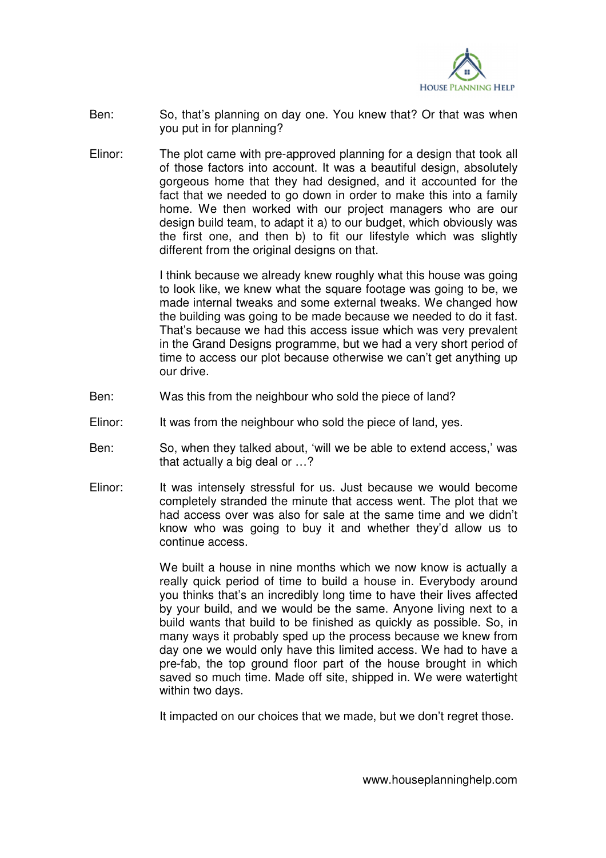

- Ben: So, that's planning on day one. You knew that? Or that was when you put in for planning?
- Elinor: The plot came with pre-approved planning for a design that took all of those factors into account. It was a beautiful design, absolutely gorgeous home that they had designed, and it accounted for the fact that we needed to go down in order to make this into a family home. We then worked with our project managers who are our design build team, to adapt it a) to our budget, which obviously was the first one, and then b) to fit our lifestyle which was slightly different from the original designs on that.

 I think because we already knew roughly what this house was going to look like, we knew what the square footage was going to be, we made internal tweaks and some external tweaks. We changed how the building was going to be made because we needed to do it fast. That's because we had this access issue which was very prevalent in the Grand Designs programme, but we had a very short period of time to access our plot because otherwise we can't get anything up our drive.

- Ben: Was this from the neighbour who sold the piece of land?
- Elinor: It was from the neighbour who sold the piece of land, yes.
- Ben: So, when they talked about, 'will we be able to extend access,' was that actually a big deal or …?
- Elinor: It was intensely stressful for us. Just because we would become completely stranded the minute that access went. The plot that we had access over was also for sale at the same time and we didn't know who was going to buy it and whether they'd allow us to continue access.

We built a house in nine months which we now know is actually a really quick period of time to build a house in. Everybody around you thinks that's an incredibly long time to have their lives affected by your build, and we would be the same. Anyone living next to a build wants that build to be finished as quickly as possible. So, in many ways it probably sped up the process because we knew from day one we would only have this limited access. We had to have a pre-fab, the top ground floor part of the house brought in which saved so much time. Made off site, shipped in. We were watertight within two days.

It impacted on our choices that we made, but we don't regret those.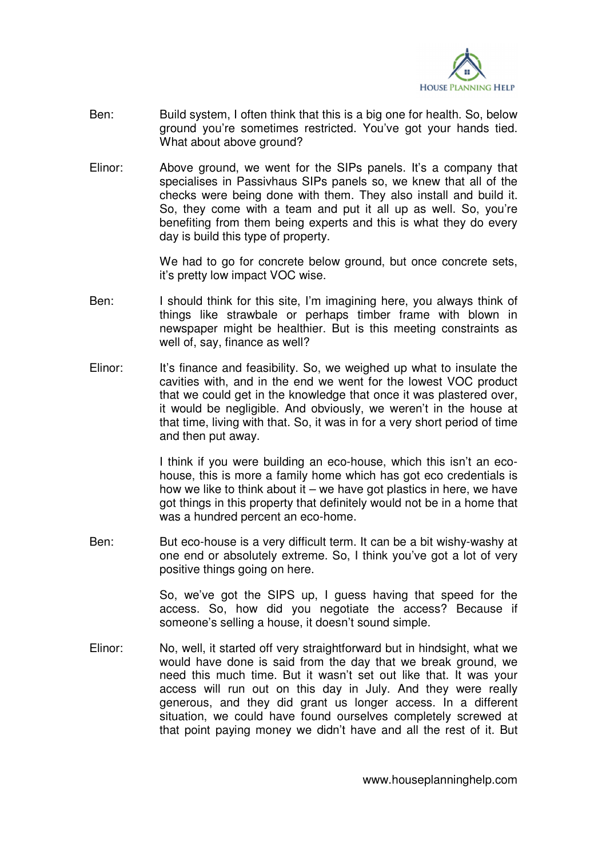

- Ben: Build system, I often think that this is a big one for health. So, below ground you're sometimes restricted. You've got your hands tied. What about above ground?
- Elinor: Above ground, we went for the SIPs panels. It's a company that specialises in Passivhaus SIPs panels so, we knew that all of the checks were being done with them. They also install and build it. So, they come with a team and put it all up as well. So, you're benefiting from them being experts and this is what they do every day is build this type of property.

 We had to go for concrete below ground, but once concrete sets, it's pretty low impact VOC wise.

- Ben: I should think for this site, I'm imagining here, you always think of things like strawbale or perhaps timber frame with blown in newspaper might be healthier. But is this meeting constraints as well of, say, finance as well?
- Elinor: It's finance and feasibility. So, we weighed up what to insulate the cavities with, and in the end we went for the lowest VOC product that we could get in the knowledge that once it was plastered over, it would be negligible. And obviously, we weren't in the house at that time, living with that. So, it was in for a very short period of time and then put away.

 I think if you were building an eco-house, which this isn't an ecohouse, this is more a family home which has got eco credentials is how we like to think about it – we have got plastics in here, we have got things in this property that definitely would not be in a home that was a hundred percent an eco-home.

Ben: But eco-house is a very difficult term. It can be a bit wishy-washy at one end or absolutely extreme. So, I think you've got a lot of very positive things going on here.

> So, we've got the SIPS up, I guess having that speed for the access. So, how did you negotiate the access? Because if someone's selling a house, it doesn't sound simple.

Elinor: No, well, it started off very straightforward but in hindsight, what we would have done is said from the day that we break ground, we need this much time. But it wasn't set out like that. It was your access will run out on this day in July. And they were really generous, and they did grant us longer access. In a different situation, we could have found ourselves completely screwed at that point paying money we didn't have and all the rest of it. But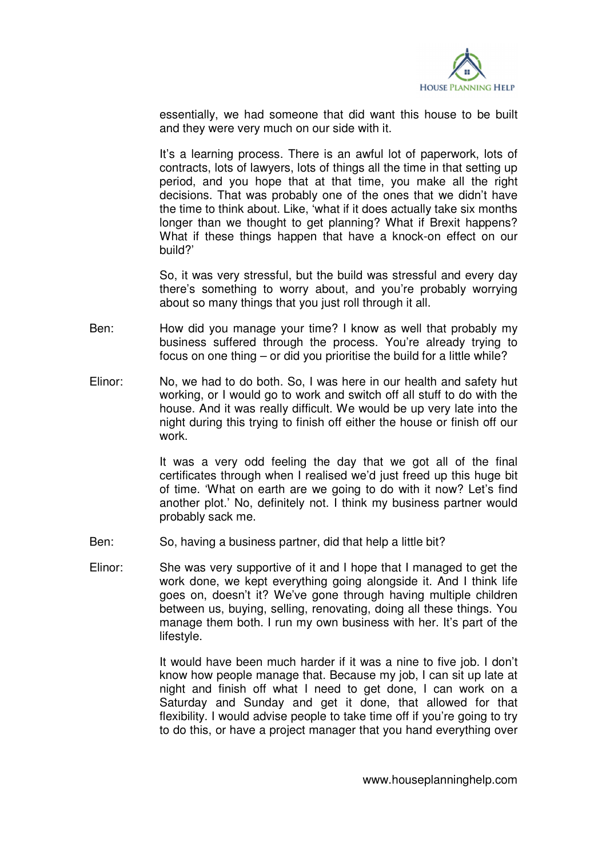

essentially, we had someone that did want this house to be built and they were very much on our side with it.

 It's a learning process. There is an awful lot of paperwork, lots of contracts, lots of lawyers, lots of things all the time in that setting up period, and you hope that at that time, you make all the right decisions. That was probably one of the ones that we didn't have the time to think about. Like, 'what if it does actually take six months longer than we thought to get planning? What if Brexit happens? What if these things happen that have a knock-on effect on our build?'

 So, it was very stressful, but the build was stressful and every day there's something to worry about, and you're probably worrying about so many things that you just roll through it all.

- Ben: How did you manage your time? I know as well that probably my business suffered through the process. You're already trying to focus on one thing – or did you prioritise the build for a little while?
- Elinor: No, we had to do both. So, I was here in our health and safety hut working, or I would go to work and switch off all stuff to do with the house. And it was really difficult. We would be up very late into the night during this trying to finish off either the house or finish off our work.

 It was a very odd feeling the day that we got all of the final certificates through when I realised we'd just freed up this huge bit of time. 'What on earth are we going to do with it now? Let's find another plot.' No, definitely not. I think my business partner would probably sack me.

- Ben: So, having a business partner, did that help a little bit?
- Elinor: She was very supportive of it and I hope that I managed to get the work done, we kept everything going alongside it. And I think life goes on, doesn't it? We've gone through having multiple children between us, buying, selling, renovating, doing all these things. You manage them both. I run my own business with her. It's part of the lifestyle.

 It would have been much harder if it was a nine to five job. I don't know how people manage that. Because my job, I can sit up late at night and finish off what I need to get done, I can work on a Saturday and Sunday and get it done, that allowed for that flexibility. I would advise people to take time off if you're going to try to do this, or have a project manager that you hand everything over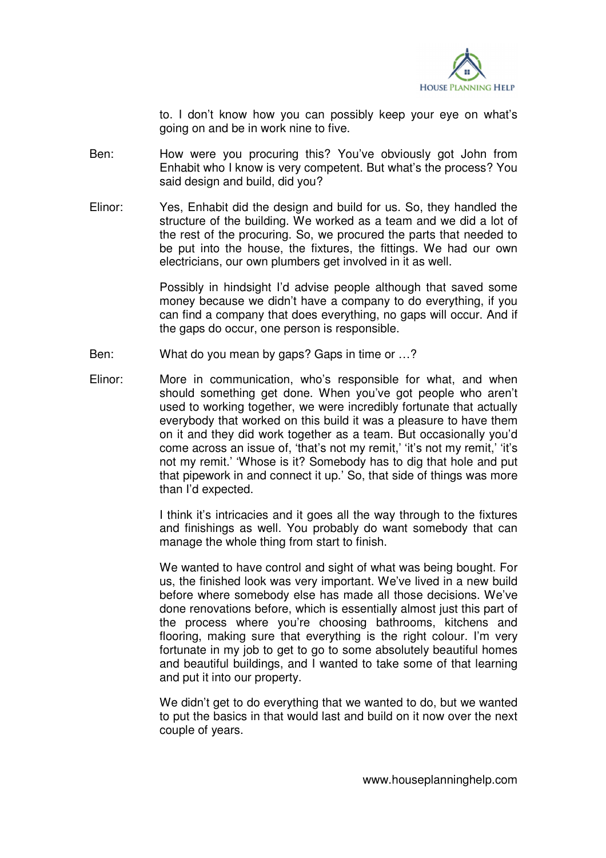

to. I don't know how you can possibly keep your eye on what's going on and be in work nine to five.

- Ben: How were you procuring this? You've obviously got John from Enhabit who I know is very competent. But what's the process? You said design and build, did you?
- Elinor: Yes, Enhabit did the design and build for us. So, they handled the structure of the building. We worked as a team and we did a lot of the rest of the procuring. So, we procured the parts that needed to be put into the house, the fixtures, the fittings. We had our own electricians, our own plumbers get involved in it as well.

 Possibly in hindsight I'd advise people although that saved some money because we didn't have a company to do everything, if you can find a company that does everything, no gaps will occur. And if the gaps do occur, one person is responsible.

- Ben: What do you mean by gaps? Gaps in time or …?
- Elinor: More in communication, who's responsible for what, and when should something get done. When you've got people who aren't used to working together, we were incredibly fortunate that actually everybody that worked on this build it was a pleasure to have them on it and they did work together as a team. But occasionally you'd come across an issue of, 'that's not my remit,' 'it's not my remit,' 'it's not my remit.' 'Whose is it? Somebody has to dig that hole and put that pipework in and connect it up.' So, that side of things was more than I'd expected.

 I think it's intricacies and it goes all the way through to the fixtures and finishings as well. You probably do want somebody that can manage the whole thing from start to finish.

We wanted to have control and sight of what was being bought. For us, the finished look was very important. We've lived in a new build before where somebody else has made all those decisions. We've done renovations before, which is essentially almost just this part of the process where you're choosing bathrooms, kitchens and flooring, making sure that everything is the right colour. I'm very fortunate in my job to get to go to some absolutely beautiful homes and beautiful buildings, and I wanted to take some of that learning and put it into our property.

 We didn't get to do everything that we wanted to do, but we wanted to put the basics in that would last and build on it now over the next couple of years.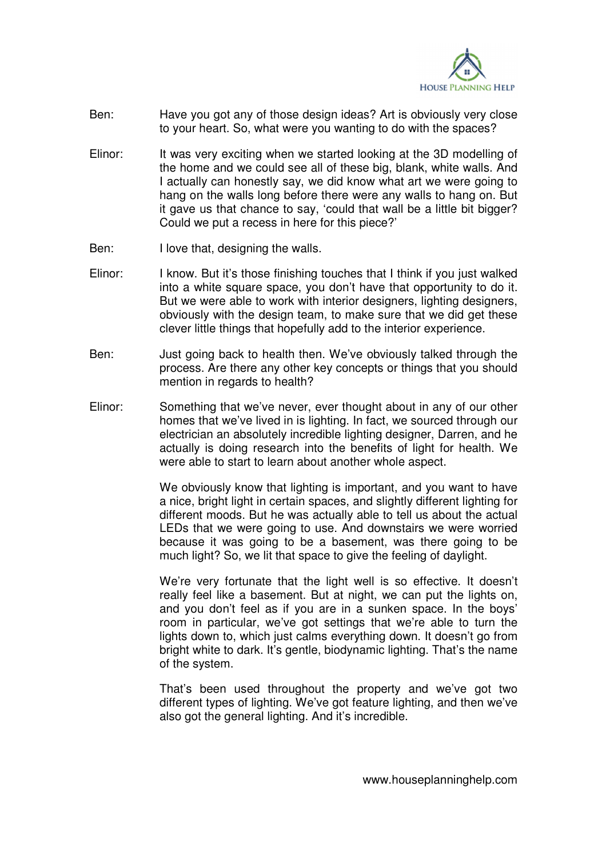

- Ben: Have you got any of those design ideas? Art is obviously very close to your heart. So, what were you wanting to do with the spaces?
- Elinor: It was very exciting when we started looking at the 3D modelling of the home and we could see all of these big, blank, white walls. And I actually can honestly say, we did know what art we were going to hang on the walls long before there were any walls to hang on. But it gave us that chance to say, 'could that wall be a little bit bigger? Could we put a recess in here for this piece?'
- Ben: I love that, designing the walls.
- Elinor: I know. But it's those finishing touches that I think if you just walked into a white square space, you don't have that opportunity to do it. But we were able to work with interior designers, lighting designers, obviously with the design team, to make sure that we did get these clever little things that hopefully add to the interior experience.
- Ben: Just going back to health then. We've obviously talked through the process. Are there any other key concepts or things that you should mention in regards to health?
- Elinor: Something that we've never, ever thought about in any of our other homes that we've lived in is lighting. In fact, we sourced through our electrician an absolutely incredible lighting designer, Darren, and he actually is doing research into the benefits of light for health. We were able to start to learn about another whole aspect.

 We obviously know that lighting is important, and you want to have a nice, bright light in certain spaces, and slightly different lighting for different moods. But he was actually able to tell us about the actual LEDs that we were going to use. And downstairs we were worried because it was going to be a basement, was there going to be much light? So, we lit that space to give the feeling of daylight.

 We're very fortunate that the light well is so effective. It doesn't really feel like a basement. But at night, we can put the lights on, and you don't feel as if you are in a sunken space. In the boys' room in particular, we've got settings that we're able to turn the lights down to, which just calms everything down. It doesn't go from bright white to dark. It's gentle, biodynamic lighting. That's the name of the system.

 That's been used throughout the property and we've got two different types of lighting. We've got feature lighting, and then we've also got the general lighting. And it's incredible.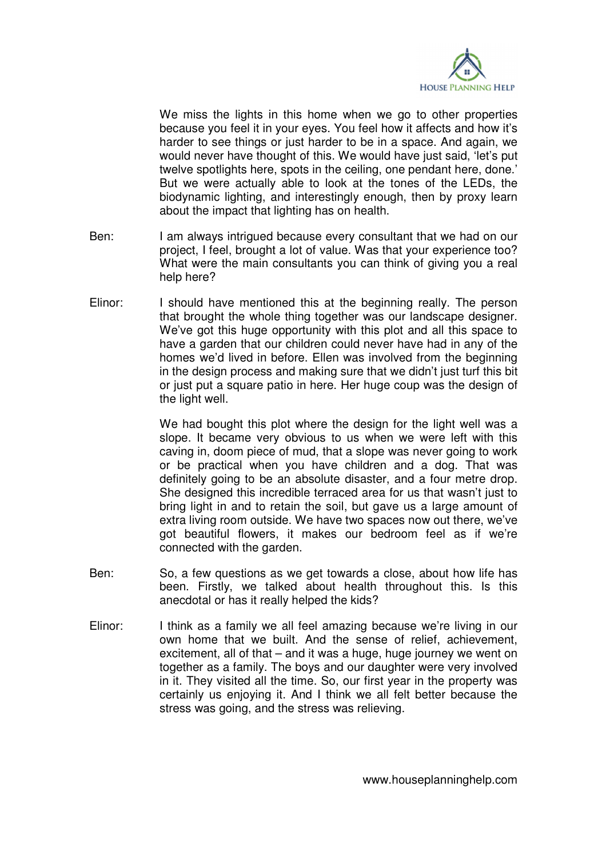

We miss the lights in this home when we go to other properties because you feel it in your eyes. You feel how it affects and how it's harder to see things or just harder to be in a space. And again, we would never have thought of this. We would have just said, 'let's put twelve spotlights here, spots in the ceiling, one pendant here, done.' But we were actually able to look at the tones of the LEDs, the biodynamic lighting, and interestingly enough, then by proxy learn about the impact that lighting has on health.

- Ben: I am always intrigued because every consultant that we had on our project, I feel, brought a lot of value. Was that your experience too? What were the main consultants you can think of giving you a real help here?
- Elinor: I should have mentioned this at the beginning really. The person that brought the whole thing together was our landscape designer. We've got this huge opportunity with this plot and all this space to have a garden that our children could never have had in any of the homes we'd lived in before. Ellen was involved from the beginning in the design process and making sure that we didn't just turf this bit or just put a square patio in here. Her huge coup was the design of the light well.

 We had bought this plot where the design for the light well was a slope. It became very obvious to us when we were left with this caving in, doom piece of mud, that a slope was never going to work or be practical when you have children and a dog. That was definitely going to be an absolute disaster, and a four metre drop. She designed this incredible terraced area for us that wasn't just to bring light in and to retain the soil, but gave us a large amount of extra living room outside. We have two spaces now out there, we've got beautiful flowers, it makes our bedroom feel as if we're connected with the garden.

- Ben: So, a few questions as we get towards a close, about how life has been. Firstly, we talked about health throughout this. Is this anecdotal or has it really helped the kids?
- Elinor: I think as a family we all feel amazing because we're living in our own home that we built. And the sense of relief, achievement, excitement, all of that – and it was a huge, huge journey we went on together as a family. The boys and our daughter were very involved in it. They visited all the time. So, our first year in the property was certainly us enjoying it. And I think we all felt better because the stress was going, and the stress was relieving.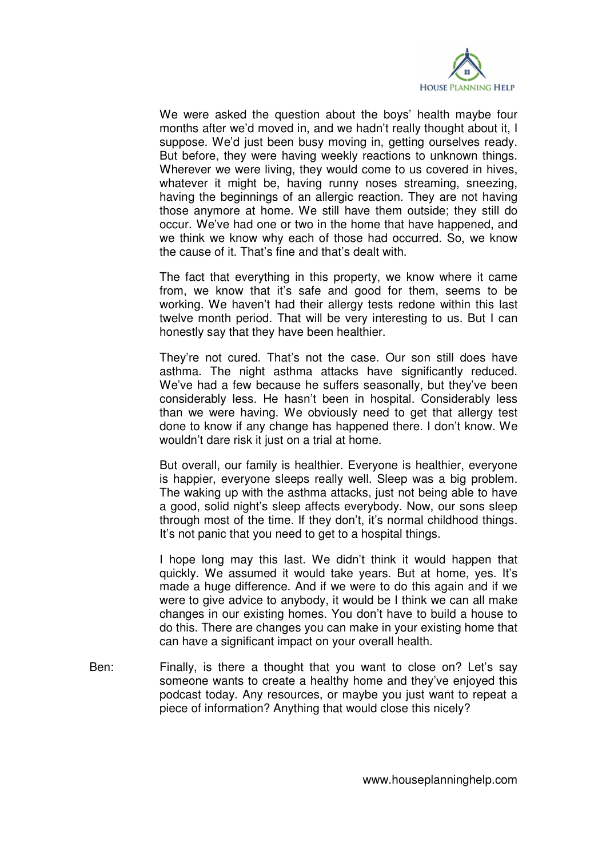

 We were asked the question about the boys' health maybe four months after we'd moved in, and we hadn't really thought about it, I suppose. We'd just been busy moving in, getting ourselves ready. But before, they were having weekly reactions to unknown things. Wherever we were living, they would come to us covered in hives, whatever it might be, having runny noses streaming, sneezing, having the beginnings of an allergic reaction. They are not having those anymore at home. We still have them outside; they still do occur. We've had one or two in the home that have happened, and we think we know why each of those had occurred. So, we know the cause of it. That's fine and that's dealt with.

 The fact that everything in this property, we know where it came from, we know that it's safe and good for them, seems to be working. We haven't had their allergy tests redone within this last twelve month period. That will be very interesting to us. But I can honestly say that they have been healthier.

 They're not cured. That's not the case. Our son still does have asthma. The night asthma attacks have significantly reduced. We've had a few because he suffers seasonally, but they've been considerably less. He hasn't been in hospital. Considerably less than we were having. We obviously need to get that allergy test done to know if any change has happened there. I don't know. We wouldn't dare risk it just on a trial at home.

 But overall, our family is healthier. Everyone is healthier, everyone is happier, everyone sleeps really well. Sleep was a big problem. The waking up with the asthma attacks, just not being able to have a good, solid night's sleep affects everybody. Now, our sons sleep through most of the time. If they don't, it's normal childhood things. It's not panic that you need to get to a hospital things.

 I hope long may this last. We didn't think it would happen that quickly. We assumed it would take years. But at home, yes. It's made a huge difference. And if we were to do this again and if we were to give advice to anybody, it would be I think we can all make changes in our existing homes. You don't have to build a house to do this. There are changes you can make in your existing home that can have a significant impact on your overall health.

Ben: Finally, is there a thought that you want to close on? Let's say someone wants to create a healthy home and they've enjoyed this podcast today. Any resources, or maybe you just want to repeat a piece of information? Anything that would close this nicely?